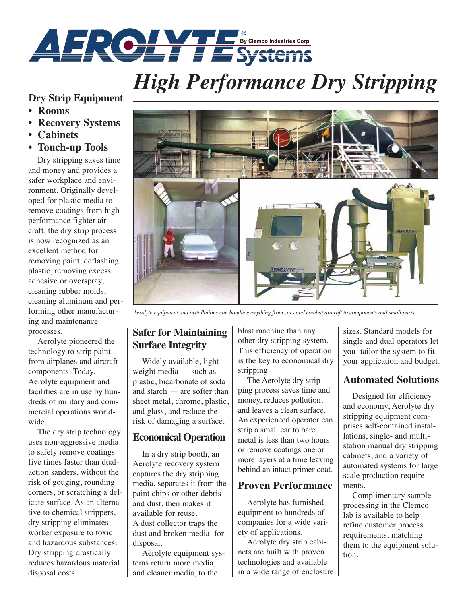

# *High Performance Dry Stripping*

# **Dry Strip Equipment**

- **Rooms**
- **Recovery Systems**
- **Cabinets**
- **Touch-up Tools**

Dry stripping saves time and money and provides a safer workplace and environment. Originally developed for plastic media to remove coatings from highperformance fighter aircraft, the dry strip process is now recognized as an excellent method for removing paint, deflashing plastic, removing excess adhesive or overspray, cleaning rubber molds, cleaning aluminum and performing other manufacturing and maintenance processes.

Aerolyte pioneered the technology to strip paint from airplanes and aircraft components. Today, Aerolyte equipment and facilities are in use by hundreds of military and commercial operations worldwide.

The dry strip technology uses non-aggressive media to safely remove coatings five times faster than dualaction sanders, without the risk of gouging, rounding corners, or scratching a delicate surface. As an alternative to chemical strippers, dry stripping eliminates worker exposure to toxic and hazardous substances. Dry stripping drastically reduces hazardous material disposal costs.



*Aerolyte equipment and installations can handle everything from cars and combat aircraft to components and small parts.*

# **Safer for Maintaining Surface Integrity**

Widely available, lightweight media — such as plastic, bicarbonate of soda and starch — are softer than sheet metal, chrome, plastic, and glass, and reduce the risk of damaging a surface.

### **Economical Operation**

In a dry strip booth, an Aerolyte recovery system captures the dry stripping media, separates it from the paint chips or other debris and dust, then makes it available for reuse. A dust collector traps the dust and broken media for disposal.

Aerolyte equipment systems return more media, and cleaner media, to the

blast machine than any other dry stripping system. This efficiency of operation is the key to economical dry stripping.

The Aerolyte dry stripping process saves time and money, reduces pollution, and leaves a clean surface. An experienced operator can strip a small car to bare metal is less than two hours or remove coatings one or more layers at a time leaving behind an intact primer coat.

## **Proven Performance**

Aerolyte has furnished equipment to hundreds of companies for a wide variety of applications.

Aerolyte dry strip cabinets are built with proven technologies and available in a wide range of enclosure sizes. Standard models for single and dual operators let you tailor the system to fit your application and budget.

## **Automated Solutions**

Designed for efficiency and economy, Aerolyte dry stripping equipment comprises self-contained installations, single- and multistation manual dry stripping cabinets, and a variety of automated systems for large scale production requirements.

Complimentary sample processing in the Clemco lab is available to help refine customer process requirements, matching them to the equipment solution.